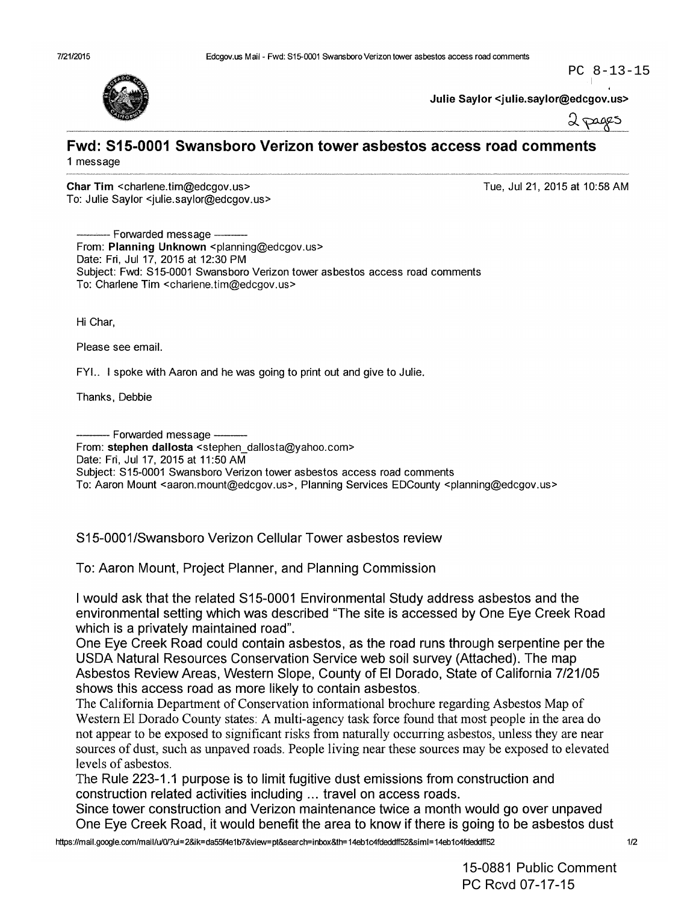Julie Saylor <julie.saylor@edcgov.us>



PC 8-13-15

## **Fwd: 515-0001 Swansboro Verizon tower asbestos access road comments** 1 message

Char Tim <charlene.tim@edcgov.us> To: Julie Saylor <julie.saylor@edcgov.us> Tue, Ju121, 2015 at 10:58 AM

- Forwarded message -From: Planning Unknown <planning@edcgov.us> Date: Fri, Jul 17, 2015 at 12:30 PM Subject: Fwd: S15-0001 Swansboro Verizon tower asbestos access road comments To: Charlene Tim <charlene.tim@edcgov.us>

Hi Char,

Please see email.

FYI.. I spoke with Aaron and he was going to print out and give to Julie.

Thanks, Debbie

--- Forwarded message -- From: stephen dallosta <stephen\_dallosta@yahoo.com> Date: Fri, Ju117, 2015 at 11:50 AM Subject: S15-0001 Swansboro Verizon tower asbestos access road comments To: Aaron Mount <aaron.mount@edcgov.us>, Planning Services EDCounty <planning@edcgov.us>

S15-0001/Swansboro Verizon Cellular Tower asbestos review

To: Aaron Mount, Project Planner, and Planning Commission

I would ask that the related S15-0001 Environmental Study address asbestos and the environmental setting which was described "The site is accessed by One Eye Creek Road which is a privately maintained road".

One Eye Creek Road could contain asbestos, as the road runs through serpentine per the USDA Natural Resources Conservation Service web soil survey (Attached). The map Asbestos Review Areas, Western Slope, County of EI Dorado, State of California 7/21/05 shows this access road as more likely to contain asbestos.

The California Department of Conservation informational brochure regarding Asbestos Map of Western El Dorado County states: A multi-agency task force found that most people in the area do not appear to be exposed to significant risks from naturally occurring asbestos, unless they are near sources of dust, such as unpaved roads. People living near these sources may be exposed to elevated levels of asbestos.

The Rule 223-1.1 purpose is to limit fugitive dust emissions from construction and construction related activities including ... travel on access roads.

Since tower construction and Verizon maintenance twice a month would go over unpaved One Eye Creek Road, it would benefit the area to know if there is going to be asbestos dust

15-0881 Public Comment PC Rcvd 07-17-15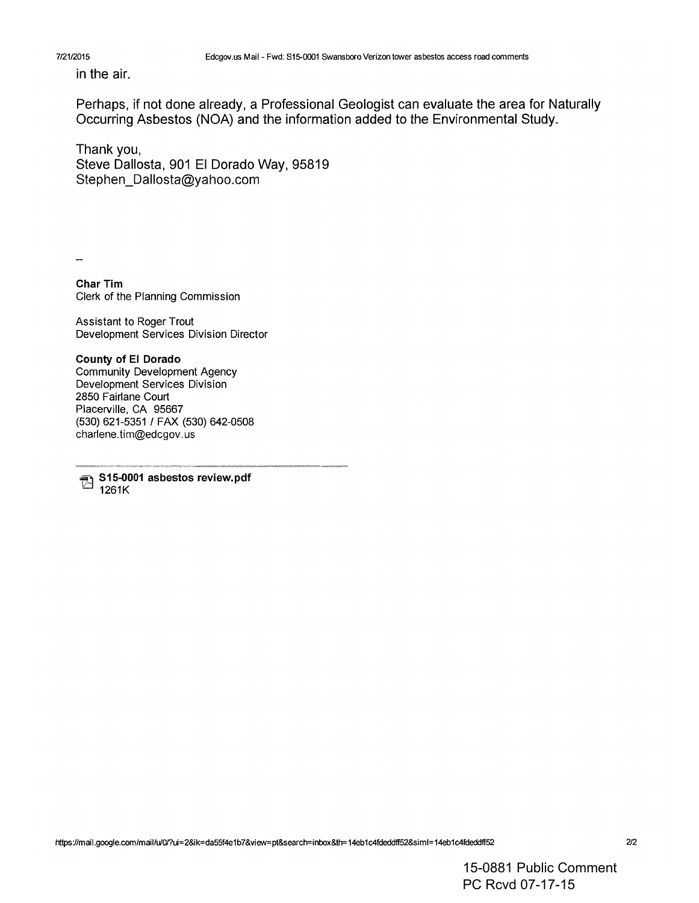## 7121/2015

in the air.

Perhaps, if not done already, a Professional Geologist can evaluate the area for Naturally Occurring Asbestos (NOA) and the information added to the Environmental Study.

Thank you, Steve Dallosta, 901 EI Dorado Way, 95819 Stephen\_Dallosta@yahoo.com

......

Char Tim Clerk of the Planning Commission

Assistant to Roger Trout Development Services Division Director

County of EI Dorado Community Development Agency Development Services Division 2850 Fairlane Court Placerville, CA 95667 (530) 621-5351 / FAX (530) 642-0508 charlene.tim@edcgov.us

S15-0001 asbestos review.pdf 1261K

15-0881 Public Comment PC Rcvd 07-17-15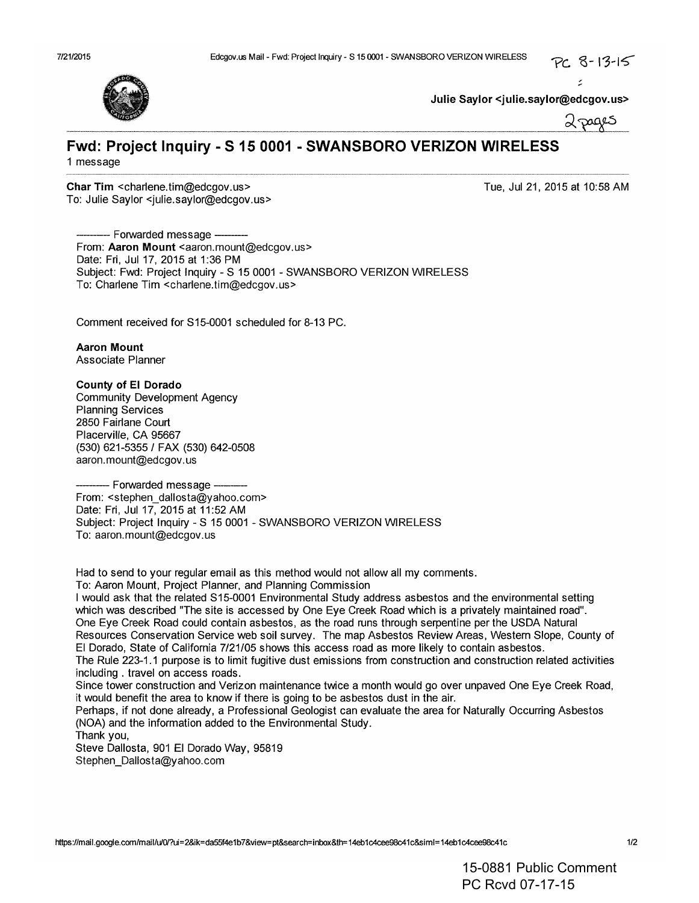:



**Julie Saylor <julie.saylor@edcgov.us>**

2 pages

## **Fwd: Project Inquiry - S 15 0001 - SWANSBORO VERIZON WIRELESS** 1 message

**Char Tim** <charlene.tim@edcgov.us> To: Julie Saylor <julie.saylor@edcgov.us> Tue, Jul 21, 2015 at 10:58 AM

--- Forwarded message ---------From: Aaron Mount <aaron.mount@edcgov.us> Date: Fri, Jul 17, 2015 at 1:36 PM Subject: Fwd: Project Inquiry - S 150001 - SWANSBORO VERIZON WIRELESS To: Charlene Tim <charlene.tim@edcgov.us>

Comment received for S15-0001 scheduled for 8-13 PC.

**Aaron Mount** Associate Planner

**County of EI Dorado** Community Development Agency Planning Services 2850 Fairlane Court Placerville, CA 95667 (530) 621-5355/ FAX (530) 642-0508

aaron.mount@edcgov.us --Forwarded message --- From: <stephen\_dallosta@yahoo.com> Date: Fri, Ju117, 2015 at 11:52AM Subject: Project Inquiry - S 150001 - SWANSBORO VERIZON WIRELESS To: aaron.mount@edcgov.us

Had to send to your regular email as this method would not allow all my comments.

To: Aaron Mount, Project Planner, and Planning Commission

I would ask that the related S15-0001 Environmental Study address asbestos and the environmental setting which was described "The site is accessed by One Eye Creek Road which is a privately maintained road". One Eye Creek Road could contain asbestos, as the road runs through serpentine per the USDA Natural Resources Conservation Service web soil survey. The map Asbestos Review Areas, Western Slope, County of EI Dorado, State of California 7/21/05 shows this access road as more likely to contain asbestos. The Rule 223-1.1 purpose is to limit fugitive dust emissions from construction and construction related activities including. travel on access roads. Since tower construction and Verizon maintenance twice a month would go over unpaved One Eye Creek Road, it would benefit the area to know if there is going to be asbestos dust in the air.

Perhaps, if not done already, a Professional Geologist can evaluate the area for Naturally Occurring Asbestos (NOA) and the information added to the Environmental Study.

Thank you,

Steve Dallosta, 901 El Dorado Way, 95819 Stephen\_Dallosta@yahoo.com